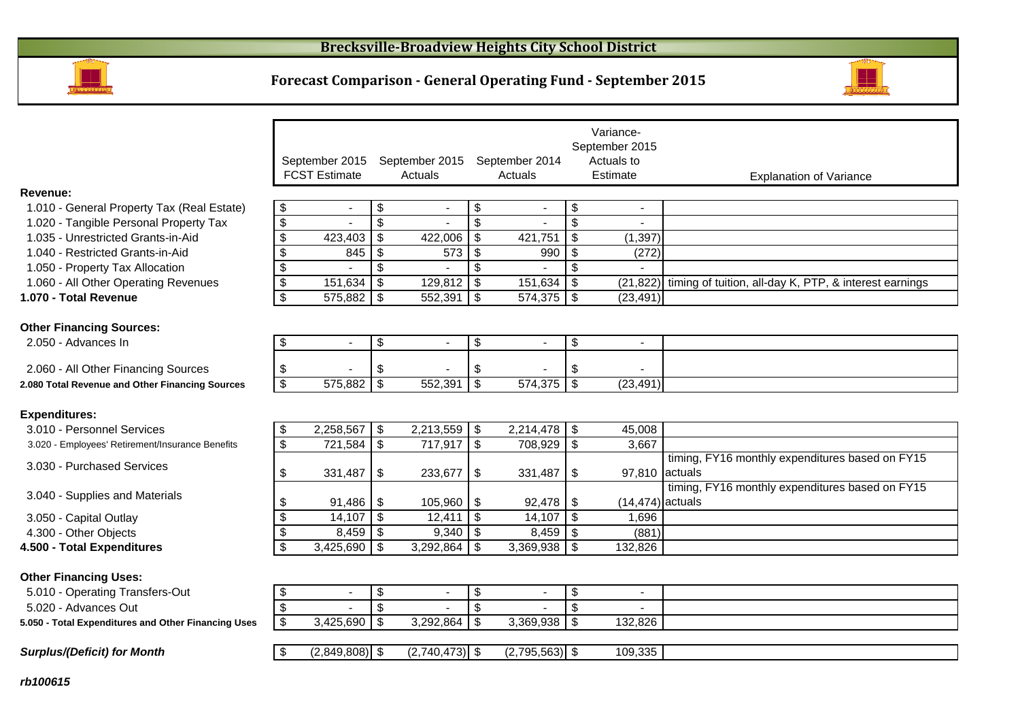

## **Forecast Comparison - General Operating Fund - September 2015**



|                                                                              |                           | September 2015<br><b>FCST Estimate</b> |                     | September 2015<br>Actuals |                           | September 2014<br>Actuals |                           | Variance-<br>September 2015<br>Actuals to<br>Estimate |                                                        |
|------------------------------------------------------------------------------|---------------------------|----------------------------------------|---------------------|---------------------------|---------------------------|---------------------------|---------------------------|-------------------------------------------------------|--------------------------------------------------------|
|                                                                              |                           |                                        |                     |                           |                           |                           |                           |                                                       | <b>Explanation of Variance</b>                         |
| Revenue:                                                                     |                           |                                        |                     |                           |                           |                           |                           | $\overline{\phantom{a}}$                              |                                                        |
| 1.010 - General Property Tax (Real Estate)                                   | \$                        | $\blacksquare$                         | $\frac{1}{2}$<br>\$ | $\blacksquare$            | \$<br>$\mathfrak{S}$      |                           | \$<br>\$                  |                                                       |                                                        |
| 1.020 - Tangible Personal Property Tax<br>1.035 - Unrestricted Grants-in-Aid | \$<br>\$                  | 423,403                                | $\mathfrak{s}$      | 422,006                   | $\mathfrak{S}$            | 421,751                   | $\boldsymbol{\mathsf{S}}$ | (1, 397)                                              |                                                        |
| 1.040 - Restricted Grants-in-Aid                                             | \$                        | 845                                    | $\mathfrak{s}$      | 573                       | $\mathfrak{S}$            | 990                       | $\overline{\mathbf{s}}$   | (272)                                                 |                                                        |
| 1.050 - Property Tax Allocation                                              | \$                        |                                        | \$                  |                           | $\overline{\mathfrak{s}}$ |                           | $\overline{\mathcal{S}}$  |                                                       |                                                        |
| 1.060 - All Other Operating Revenues                                         | $\overline{\mathbf{e}}$   | 151,634                                | $\mathfrak{L}$      | 129,812                   | $\sqrt{3}$                | 151,634                   | $\overline{\mathbf{s}}$   | (21, 822)                                             | timing of tuition, all-day K, PTP, & interest earnings |
| 1.070 - Total Revenue                                                        | $\overline{\mathcal{S}}$  | $575,882$ \$                           |                     | 552,391                   | $\mathfrak{S}$            | $574,375$ \$              |                           | (23, 491)                                             |                                                        |
|                                                                              |                           |                                        |                     |                           |                           |                           |                           |                                                       |                                                        |
| <b>Other Financing Sources:</b>                                              |                           |                                        |                     |                           |                           |                           |                           |                                                       |                                                        |
| 2.050 - Advances In                                                          | \$                        |                                        | \$                  |                           | $\boldsymbol{\mathsf{S}}$ |                           | \$                        | $\blacksquare$                                        |                                                        |
|                                                                              |                           |                                        |                     |                           |                           |                           |                           |                                                       |                                                        |
| 2.060 - All Other Financing Sources                                          | \$                        |                                        | \$                  |                           | \$                        |                           | \$                        |                                                       |                                                        |
| 2.080 Total Revenue and Other Financing Sources                              | \$                        | 575,882                                | \$                  | 552,391                   | $\overline{\mathbf{s}}$   | 574,375                   | $\overline{\mathbf{s}}$   | (23, 491)                                             |                                                        |
|                                                                              |                           |                                        |                     |                           |                           |                           |                           |                                                       |                                                        |
| <b>Expenditures:</b>                                                         |                           |                                        |                     |                           |                           |                           |                           |                                                       |                                                        |
| 3.010 - Personnel Services                                                   | \$                        | 2,258,567                              | $\sqrt[6]{2}$       | 2,213,559                 | $\sqrt{3}$                | 2,214,478                 | $\sqrt[6]{3}$             | 45,008                                                |                                                        |
| 3.020 - Employees' Retirement/Insurance Benefits                             | $\sqrt[6]{\frac{1}{2}}$   | $721,584$ \$                           |                     | 717,917                   | $\overline{\mathbf{3}}$   | 708,929 \$                |                           | 3.667                                                 |                                                        |
|                                                                              |                           |                                        |                     |                           |                           |                           |                           |                                                       | timing, FY16 monthly expenditures based on FY15        |
| 3.030 - Purchased Services                                                   | \$                        | 331,487                                | \$                  | 233,677                   | \$                        | 331,487                   | \$                        |                                                       | 97,810 actuals                                         |
| 3.040 - Supplies and Materials                                               |                           |                                        |                     |                           |                           |                           |                           |                                                       | timing, FY16 monthly expenditures based on FY15        |
|                                                                              | \$                        | $91,486$ \$                            |                     | 105,960                   | l \$                      |                           |                           | $(14, 474)$ actuals                                   |                                                        |
| 3.050 - Capital Outlay                                                       | \$                        | $14,107$ \\$                           |                     | 12,411                    | l \$                      |                           |                           | 1,696                                                 |                                                        |
| 4.300 - Other Objects                                                        | $\boldsymbol{\mathsf{S}}$ |                                        |                     | $9,340$ \$                |                           | $8,459$ \$                |                           | (881)                                                 |                                                        |
| 4.500 - Total Expenditures                                                   | \$                        | $3,425,690$ \$                         |                     | 3,292,864                 | $\mathfrak{S}$            | $3,369,938$ \$            |                           | 132,826                                               |                                                        |
|                                                                              |                           |                                        |                     |                           |                           |                           |                           |                                                       |                                                        |
| <b>Other Financing Uses:</b>                                                 |                           |                                        |                     |                           |                           |                           |                           |                                                       |                                                        |
| 5.010 - Operating Transfers-Out                                              | \$                        |                                        | \$                  |                           | \$                        |                           | \$                        | $\blacksquare$                                        |                                                        |
| 5.020 - Advances Out                                                         | \$                        |                                        | \$                  |                           | $\mathfrak{S}$            |                           | \$                        |                                                       |                                                        |
| 5.050 - Total Expenditures and Other Financing Uses                          | \$                        | $3,425,690$ \$                         |                     | 3,292,864                 | $\sqrt[6]{3}$             | $3,369,938$ \$            |                           | 132,826                                               |                                                        |
|                                                                              |                           |                                        |                     |                           |                           |                           |                           |                                                       |                                                        |
| <b>Surplus/(Deficit) for Month</b>                                           | \$                        | $(2,849,808)$ \$                       |                     | $(2,740,473)$ \$          |                           | $(2,795,563)$ \$          |                           | 109,335                                               |                                                        |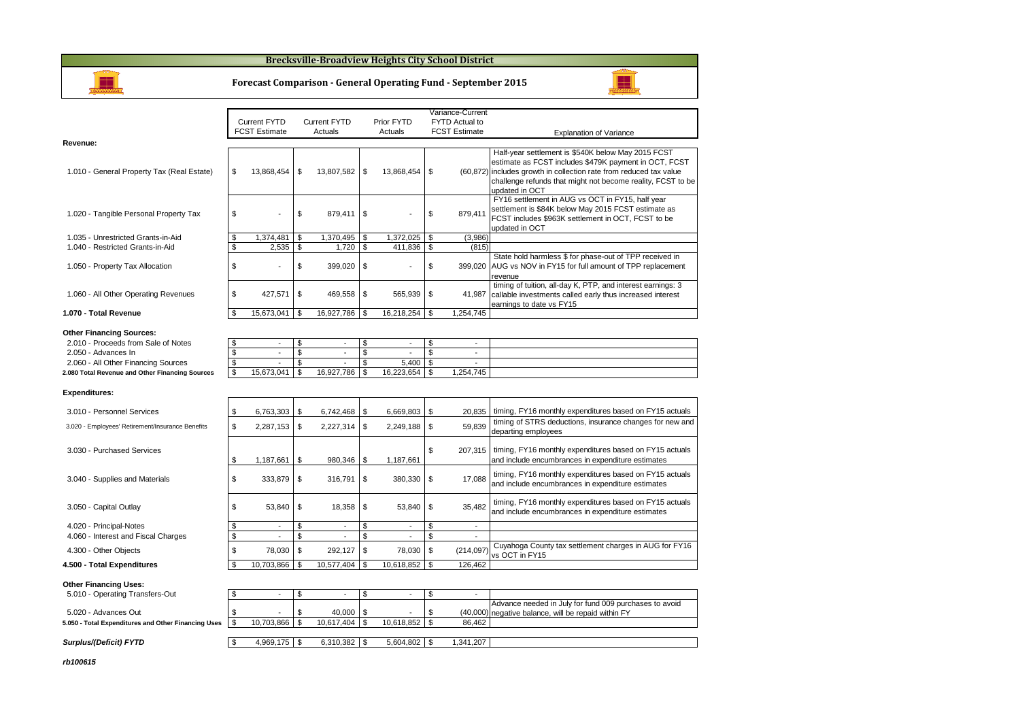**Brecksville-Broadview Heights City School District**

**Forecast Comparison - General Operating Fund - September 2015**

H

|                                                                 |                          |                                            |                                |    |                                               |               | Variance-Current                           |                                                                                                                                                                                                                                                                    |
|-----------------------------------------------------------------|--------------------------|--------------------------------------------|--------------------------------|----|-----------------------------------------------|---------------|--------------------------------------------|--------------------------------------------------------------------------------------------------------------------------------------------------------------------------------------------------------------------------------------------------------------------|
|                                                                 |                          | Current FYTD                               | Current FYTD                   |    | Prior FYTD                                    |               | FYTD Actual to                             |                                                                                                                                                                                                                                                                    |
|                                                                 |                          | <b>FCST Estimate</b>                       | Actuals                        |    | Actuals                                       |               | <b>FCST Estimate</b>                       | <b>Explanation of Variance</b>                                                                                                                                                                                                                                     |
| Revenue:                                                        |                          |                                            |                                |    |                                               |               |                                            |                                                                                                                                                                                                                                                                    |
| 1.010 - General Property Tax (Real Estate)                      | \$                       | 13,868,454                                 | \$<br>13,807,582               | \$ | 13,868,454                                    | \$            |                                            | Half-year settlement is \$540K below May 2015 FCST<br>estimate as FCST includes \$479K payment in OCT, FCST<br>(60,872) includes growth in collection rate from reduced tax value<br>challenge refunds that might not become reality, FCST to be<br>updated in OCT |
| 1.020 - Tangible Personal Property Tax                          | \$                       |                                            | \$<br>879,411                  | \$ |                                               | \$            | 879,411                                    | FY16 settlement in AUG vs OCT in FY15, half year<br>settlement is \$84K below May 2015 FCST estimate as<br>FCST includes \$963K settlement in OCT, FCST to be<br>updated in OCT                                                                                    |
| 1.035 - Unrestricted Grants-in-Aid                              | \$                       | 1,374,481                                  | \$<br>1,370,495                | \$ | 1,372,025                                     | \$            | (3,986)                                    |                                                                                                                                                                                                                                                                    |
| 1.040 - Restricted Grants-in-Aid                                | \$                       | 2,535                                      | \$<br>1,720                    | \$ | 411,836                                       | \$            | (815)                                      |                                                                                                                                                                                                                                                                    |
| 1.050 - Property Tax Allocation                                 | \$                       |                                            | \$<br>399,020                  | \$ | J.                                            | \$            | 399,020                                    | State hold harmless \$ for phase-out of TPP received in<br>AUG vs NOV in FY15 for full amount of TPP replacement<br>revenue                                                                                                                                        |
| 1.060 - All Other Operating Revenues                            | \$                       | 427,571                                    | \$<br>469,558                  | \$ | 565,939                                       | \$            | 41,987                                     | timing of tuition, all-day K, PTP, and interest earnings: 3<br>callable investments called early thus increased interest<br>earnings to date vs FY15                                                                                                               |
| 1.070 - Total Revenue                                           | \$                       | 15,673,041                                 | \$<br>16,927,786               | \$ | 16,218,254 \$                                 |               | 1,254,745                                  |                                                                                                                                                                                                                                                                    |
| <b>Other Financing Sources:</b>                                 |                          |                                            |                                |    |                                               |               |                                            |                                                                                                                                                                                                                                                                    |
| 2.010 - Proceeds from Sale of Notes                             | \$                       | $\overline{\phantom{a}}$<br>$\overline{a}$ | \$<br>$\overline{\phantom{a}}$ | \$ | $\mathcal{L}_{\mathcal{A}}$<br>$\overline{a}$ | \$            | $\blacksquare$<br>$\overline{\phantom{a}}$ |                                                                                                                                                                                                                                                                    |
| 2.050 - Advances In                                             | \$                       |                                            | \$<br>$\overline{a}$           | \$ |                                               | \$<br>\$      |                                            |                                                                                                                                                                                                                                                                    |
| 2.060 - All Other Financing Sources                             | $\overline{\mathbb{S}}$  | 15,673,041                                 | \$                             | \$ | 5.400                                         | <b>S</b>      | 1,254,745                                  |                                                                                                                                                                                                                                                                    |
| 2.080 Total Revenue and Other Financing Sources                 | \$                       |                                            | \$<br>16,927,786               | \$ | 16,223,654                                    |               |                                            |                                                                                                                                                                                                                                                                    |
| <b>Expenditures:</b>                                            |                          |                                            |                                |    |                                               |               |                                            |                                                                                                                                                                                                                                                                    |
| 3.010 - Personnel Services                                      | \$                       | 6,763,303                                  | \$<br>6,742,468                | Ŝ. | 6,669,803                                     | \$            | 20,835                                     | timing, FY16 monthly expenditures based on FY15 actuals                                                                                                                                                                                                            |
| 3.020 - Employees' Retirement/Insurance Benefits                | \$                       | 2,287,153 \$                               | 2,227,314                      | \$ | 2,249,188                                     | <b>S</b>      | 59,839                                     | timing of STRS deductions, insurance changes for new and<br>departing employees                                                                                                                                                                                    |
| 3.030 - Purchased Services                                      | \$                       | 1,187,661                                  | \$<br>980,346                  | \$ | 1,187,661                                     | \$            | 207,315                                    | timing, FY16 monthly expenditures based on FY15 actuals<br>and include encumbrances in expenditure estimates                                                                                                                                                       |
| 3.040 - Supplies and Materials                                  | \$                       | 333,879                                    | \$<br>316,791                  | \$ | 380,330                                       | \$            | 17,088                                     | timing, FY16 monthly expenditures based on FY15 actuals<br>and include encumbrances in expenditure estimates                                                                                                                                                       |
| 3.050 - Capital Outlay                                          | \$                       | 53,840                                     | \$<br>18,358                   | \$ | 53,840                                        | \$            | 35,482                                     | timing, FY16 monthly expenditures based on FY15 actuals<br>and include encumbrances in expenditure estimates                                                                                                                                                       |
| 4.020 - Principal-Notes                                         | \$                       | $\overline{\phantom{a}}$                   | \$<br>$\overline{a}$           | \$ | $\blacksquare$                                | \$            | $\sim$                                     |                                                                                                                                                                                                                                                                    |
| 4.060 - Interest and Fiscal Charges                             | \$                       | $\overline{\phantom{a}}$                   | \$<br>$\overline{a}$           | \$ | $\overline{\phantom{a}}$                      | \$            | $\blacksquare$                             |                                                                                                                                                                                                                                                                    |
| 4.300 - Other Objects                                           | \$                       | 78,030                                     | \$<br>292,127                  | \$ | 78,030                                        | \$            | (214, 097)                                 | Cuyahoga County tax settlement charges in AUG for FY16<br>vs OCT in FY15                                                                                                                                                                                           |
| 4.500 - Total Expenditures                                      | \$                       | 10,703,866                                 | \$<br>10,577,404               | \$ | 10,618,852                                    | $\mathbf{\$}$ | 126,462                                    |                                                                                                                                                                                                                                                                    |
| <b>Other Financing Uses:</b><br>5.010 - Operating Transfers-Out | \$                       | $\overline{\phantom{a}}$                   | \$<br>$\overline{a}$           | \$ | $\overline{\phantom{a}}$                      | \$            |                                            |                                                                                                                                                                                                                                                                    |
|                                                                 |                          |                                            |                                |    |                                               |               |                                            | Advance needed in July for fund 009 purchases to avoid                                                                                                                                                                                                             |
| 5.020 - Advances Out                                            | \$                       |                                            | \$<br>40,000                   | \$ |                                               | \$            |                                            | (40,000) negative balance, will be repaid within FY                                                                                                                                                                                                                |
| 5.050 - Total Expenditures and Other Financing Uses             | $\overline{\mathcal{S}}$ | 10,703,866                                 | \$<br>10,617,404               | \$ | 10,618,852                                    | \$            | 86,462                                     |                                                                                                                                                                                                                                                                    |
|                                                                 |                          |                                            |                                |    |                                               |               |                                            |                                                                                                                                                                                                                                                                    |
| Surplus/(Deficit) FYTD                                          | \$                       | 4,969,175 \$                               | $6,310,382$ \$                 |    | 5,604,802 \$                                  |               | 1,341,207                                  |                                                                                                                                                                                                                                                                    |

#### **Surplus/(Deficit) FYTD**

**rb100615**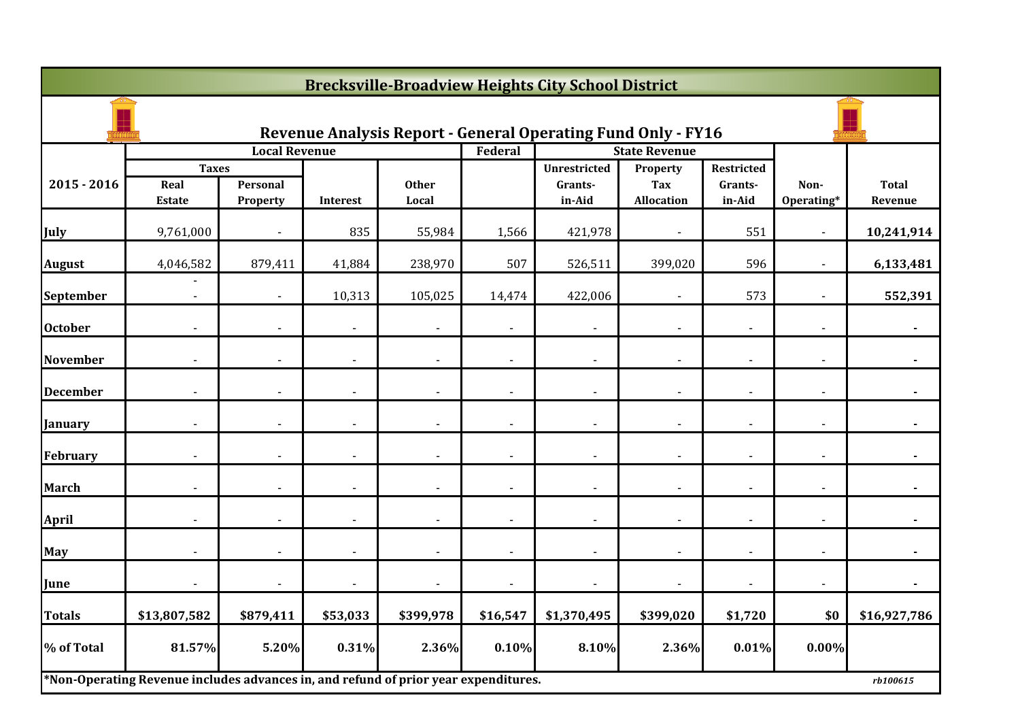|                 | <b>Brecksville-Broadview Heights City School District</b>                           |                      |                |                       |                          |                                                                     |                                             |                                 |                    |                         |  |  |
|-----------------|-------------------------------------------------------------------------------------|----------------------|----------------|-----------------------|--------------------------|---------------------------------------------------------------------|---------------------------------------------|---------------------------------|--------------------|-------------------------|--|--|
|                 |                                                                                     |                      |                |                       |                          | <b>Revenue Analysis Report - General Operating Fund Only - FY16</b> |                                             |                                 |                    |                         |  |  |
|                 |                                                                                     | <b>Local Revenue</b> |                |                       | Federal                  |                                                                     | <b>State Revenue</b>                        |                                 |                    |                         |  |  |
| $2015 - 2016$   | <b>Taxes</b><br>Real<br><b>Estate</b>                                               | Personal<br>Property | Interest       | <b>Other</b><br>Local |                          | <b>Unrestricted</b><br>Grants-<br>in-Aid                            | Property<br><b>Tax</b><br><b>Allocation</b> | Restricted<br>Grants-<br>in-Aid | Non-<br>Operating* | <b>Total</b><br>Revenue |  |  |
| July            | 9,761,000                                                                           |                      | 835            | 55,984                | 1,566                    | 421,978                                                             |                                             | 551                             |                    | 10,241,914              |  |  |
| <b>August</b>   | 4,046,582                                                                           | 879,411              | 41,884         | 238,970               | 507                      | 526,511                                                             | 399,020                                     | 596                             |                    | 6,133,481               |  |  |
| September       | $\blacksquare$                                                                      | $\blacksquare$       | 10,313         | 105,025               | 14,474                   | 422,006                                                             | $\sim$                                      | 573                             | $\sim$             | 552,391                 |  |  |
| <b>October</b>  |                                                                                     |                      | $\blacksquare$ |                       |                          | $\blacksquare$                                                      |                                             | $\blacksquare$                  |                    |                         |  |  |
| <b>November</b> |                                                                                     |                      | $\blacksquare$ |                       | $\overline{\phantom{0}}$ | $\blacksquare$                                                      |                                             |                                 |                    |                         |  |  |
| <b>December</b> |                                                                                     |                      |                |                       |                          |                                                                     |                                             |                                 |                    |                         |  |  |
| January         |                                                                                     |                      |                |                       |                          |                                                                     |                                             |                                 |                    |                         |  |  |
| February        | $\blacksquare$                                                                      | $\blacksquare$       | $\blacksquare$ | $\blacksquare$        | $\blacksquare$           | $\overline{\phantom{a}}$                                            | $\blacksquare$                              | $\blacksquare$                  | $\blacksquare$     | $\blacksquare$          |  |  |
| <b>March</b>    |                                                                                     |                      |                |                       | $\blacksquare$           |                                                                     |                                             |                                 |                    |                         |  |  |
| <b>April</b>    |                                                                                     |                      | $\overline{a}$ |                       | $\overline{a}$           | $\overline{\phantom{a}}$                                            |                                             |                                 |                    |                         |  |  |
| May             |                                                                                     |                      | $\blacksquare$ |                       |                          | $\blacksquare$                                                      |                                             |                                 |                    |                         |  |  |
| June            |                                                                                     |                      | $\blacksquare$ |                       |                          | $\blacksquare$                                                      |                                             |                                 |                    |                         |  |  |
| <b>Totals</b>   | \$13,807,582                                                                        | \$879,411            | \$53,033       | \$399,978             | \$16,547                 | \$1,370,495                                                         | \$399,020                                   | \$1,720                         | \$0                | \$16,927,786            |  |  |
| % of Total      | 81.57%                                                                              | 5.20%                | 0.31%          | 2.36%                 | 0.10%                    | 8.10%                                                               | 2.36%                                       | 0.01%                           | 0.00%              |                         |  |  |
|                 | *Non-Operating Revenue includes advances in, and refund of prior year expenditures. |                      |                |                       |                          |                                                                     |                                             |                                 |                    | rb100615                |  |  |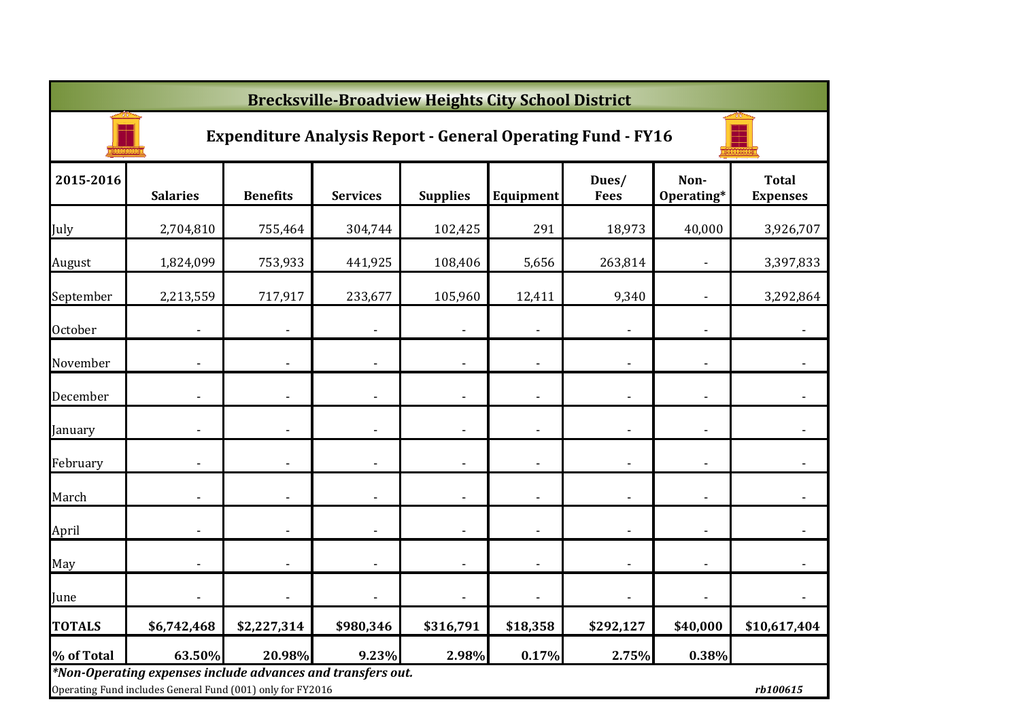|               | <b>Brecksville-Broadview Heights City School District</b>                                                                 |                 |                 |                          |                              |                      |                          |                                 |  |  |  |  |
|---------------|---------------------------------------------------------------------------------------------------------------------------|-----------------|-----------------|--------------------------|------------------------------|----------------------|--------------------------|---------------------------------|--|--|--|--|
|               | <b>Expenditure Analysis Report - General Operating Fund - FY16</b>                                                        |                 |                 |                          |                              |                      |                          |                                 |  |  |  |  |
| 2015-2016     | <b>Salaries</b>                                                                                                           | <b>Benefits</b> | <b>Services</b> | <b>Supplies</b>          | Equipment                    | Dues/<br><b>Fees</b> | Non-<br>Operating*       | <b>Total</b><br><b>Expenses</b> |  |  |  |  |
| July          | 2,704,810                                                                                                                 | 755,464         | 304,744         | 102,425                  | 291                          | 18,973               | 40,000                   | 3,926,707                       |  |  |  |  |
| August        | 1,824,099                                                                                                                 | 753,933         | 441,925         | 108,406                  | 5,656                        | 263,814              |                          | 3,397,833                       |  |  |  |  |
| September     | 2,213,559                                                                                                                 | 717,917         | 233,677         | 105,960                  | 12,411                       | 9,340                |                          | 3,292,864                       |  |  |  |  |
| October       |                                                                                                                           |                 |                 |                          |                              |                      |                          |                                 |  |  |  |  |
| November      |                                                                                                                           |                 |                 |                          |                              |                      |                          |                                 |  |  |  |  |
| December      |                                                                                                                           |                 |                 |                          | $\qquad \qquad \blacksquare$ |                      |                          |                                 |  |  |  |  |
| January       |                                                                                                                           |                 | ٠               | $\overline{\phantom{a}}$ | $\overline{\phantom{a}}$     |                      |                          |                                 |  |  |  |  |
| February      |                                                                                                                           |                 |                 |                          | $\overline{\phantom{a}}$     |                      |                          |                                 |  |  |  |  |
| March         |                                                                                                                           |                 | ÷,              |                          |                              | $\overline{a}$       |                          |                                 |  |  |  |  |
| April         |                                                                                                                           |                 | ÷,              |                          | $\overline{\phantom{a}}$     |                      | $\overline{\phantom{a}}$ |                                 |  |  |  |  |
| May           |                                                                                                                           |                 | ٠               |                          | $\blacksquare$               | $\blacksquare$       |                          | $\overline{\phantom{a}}$        |  |  |  |  |
| June          |                                                                                                                           |                 |                 |                          |                              |                      |                          |                                 |  |  |  |  |
| <b>TOTALS</b> | \$6,742,468                                                                                                               | \$2,227,314     | \$980,346       | \$316,791                | \$18,358                     | \$292,127            | \$40,000                 | \$10,617,404                    |  |  |  |  |
| % of Total    | 63.50%                                                                                                                    | 20.98%          | 9.23%           | 2.98%                    | 0.17%                        | 2.75%                | 0.38%                    |                                 |  |  |  |  |
|               | *Non-Operating expenses include advances and transfers out.<br>Operating Fund includes General Fund (001) only for FY2016 |                 |                 |                          |                              |                      |                          | rb100615                        |  |  |  |  |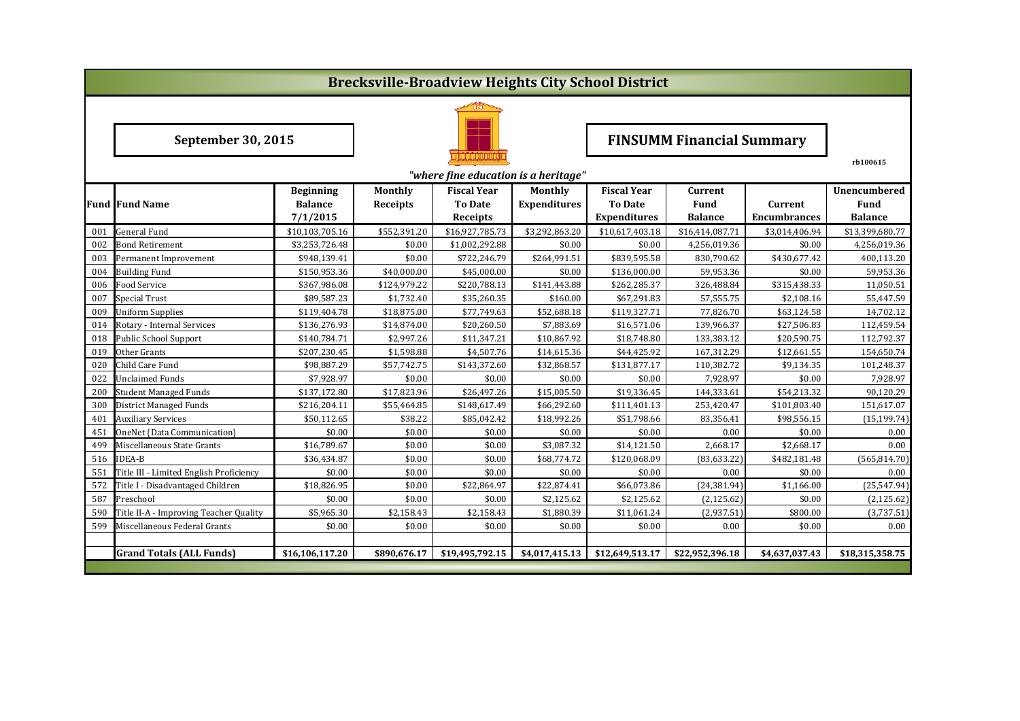|                                                  | <b>Brecksville-Broadview Heights City School District</b> |                  |                 |                    |                     |                                  |                 |                     |                     |  |  |  |
|--------------------------------------------------|-----------------------------------------------------------|------------------|-----------------|--------------------|---------------------|----------------------------------|-----------------|---------------------|---------------------|--|--|--|
|                                                  |                                                           |                  |                 |                    |                     |                                  |                 |                     |                     |  |  |  |
|                                                  | <b>September 30, 2015</b>                                 |                  |                 |                    |                     | <b>FINSUMM Financial Summary</b> |                 |                     |                     |  |  |  |
| rb100615<br>"where fine education is a heritage" |                                                           |                  |                 |                    |                     |                                  |                 |                     |                     |  |  |  |
|                                                  |                                                           | <b>Beginning</b> | Monthly         | <b>Fiscal Year</b> | Monthly             | <b>Fiscal Year</b>               | Current         |                     | <b>Unencumbered</b> |  |  |  |
|                                                  | <b>Fund Fund Name</b>                                     | <b>Balance</b>   | <b>Receipts</b> | <b>To Date</b>     | <b>Expenditures</b> | <b>To Date</b>                   | Fund            | Current             | Fund                |  |  |  |
|                                                  |                                                           | 7/1/2015         |                 | Receipts           |                     | <b>Expenditures</b>              | <b>Balance</b>  | <b>Encumbrances</b> | <b>Balance</b>      |  |  |  |
| 001                                              | <b>General Fund</b>                                       | \$10,103,705.16  | \$552,391.20    | \$16,927,785.73    | \$3,292,863.20      | \$10,617,403.18                  | \$16,414,087.71 | \$3,014,406.94      | \$13,399,680.77     |  |  |  |
| 002                                              | Bond Retirement                                           | \$3,253,726.48   | \$0.00          | \$1,002,292.88     | \$0.00              | \$0.00                           | 4,256,019.36    | \$0.00              | 4,256,019.36        |  |  |  |
| 003                                              | Permanent Improvement                                     | \$948,139.41     | \$0.00          | \$722,246.79       | \$264,991.51        | \$839,595.58                     | 830,790.62      | \$430,677.42        | 400,113.20          |  |  |  |
| 004                                              | <b>Building Fund</b>                                      | \$150,953.36     | \$40,000.00     | \$45,000.00        | \$0.00              | \$136,000.00                     | 59,953.36       | \$0.00              | 59,953.36           |  |  |  |
| 006                                              | Food Service                                              | \$367,986.08     | \$124,979.22    | \$220,788.13       | \$141,443.88        | \$262,285.37                     | 326,488.84      | \$315,438.33        | 11,050.51           |  |  |  |
| 007                                              | <b>Special Trust</b>                                      | \$89,587.23      | \$1,732.40      | \$35,260.35        | \$160.00            | \$67,291.83                      | 57,555.75       | \$2,108.16          | 55,447.59           |  |  |  |
| 009                                              | <b>Uniform Supplies</b>                                   | \$119,404.78     | \$18,875.00     | \$77,749.63        | \$52,688.18         | \$119,327.71                     | 77,826.70       | \$63,124.58         | 14,702.12           |  |  |  |
| 014                                              | Rotary - Internal Services                                | \$136,276.93     | \$14,874.00     | \$20,260.50        | \$7,883.69          | \$16,571.06                      | 139,966.37      | \$27,506.83         | 112,459.54          |  |  |  |
| 018                                              | Public School Support                                     | \$140,784.71     | \$2,997.26      | \$11,347.21        | \$10,867.92         | \$18,748.80                      | 133,383.12      | \$20,590.75         | 112,792.37          |  |  |  |
| 019                                              | Other Grants                                              | \$207,230.45     | \$1,598.88      | \$4,507.76         | \$14,615.36         | \$44,425.92                      | 167,312.29      | \$12,661.55         | 154,650.74          |  |  |  |
| 020                                              | Child Care Fund                                           | \$98,887.29      | \$57,742.75     | \$143,372.60       | \$32,868.57         | \$131,877.17                     | 110,382.72      | \$9,134.35          | 101,248.37          |  |  |  |
| 022                                              | <b>Unclaimed Funds</b>                                    | \$7,928.97       | \$0.00          | \$0.00             | \$0.00              | \$0.00                           | 7,928.97        | \$0.00              | 7,928.97            |  |  |  |
| 200                                              | <b>Student Managed Funds</b>                              | \$137,172.80     | \$17,823.96     | \$26,497.26        | \$15,005.50         | \$19,336.45                      | 144,333.61      | \$54,213.32         | 90,120.29           |  |  |  |
| 300                                              | District Managed Funds                                    | \$216,204.11     | \$55,464.85     | \$148,617.49       | \$66,292.60         | \$111,401.13                     | 253,420.47      | \$101,803.40        | 151,617.07          |  |  |  |
| 401                                              | <b>Auxiliary Services</b>                                 | \$50,112.65      | \$38.22         | \$85,042.42        | \$18,992.26         | \$51,798.66                      | 83,356.41       | \$98,556.15         | (15, 199.74)        |  |  |  |
| 451                                              | OneNet (Data Communication)                               | \$0.00           | \$0.00          | \$0.00             | \$0.00              | \$0.00                           | 0.00            | \$0.00              | 0.00                |  |  |  |
| 499                                              | Miscellaneous State Grants                                | \$16,789.67      | \$0.00          | \$0.00             | \$3,087.32          | \$14,121.50                      | 2,668.17        | \$2,668.17          | 0.00                |  |  |  |
| 516                                              | <b>IDEA-B</b>                                             | \$36,434.87      | \$0.00          | \$0.00             | \$68,774.72         | \$120,068.09                     | (83, 633.22)    | \$482,181.48        | (565, 814.70)       |  |  |  |
| 551                                              | Title III - Limited English Proficiency                   | \$0.00           | \$0.00          | \$0.00             | \$0.00              | \$0.00                           | 0.00            | \$0.00              | 0.00                |  |  |  |
| 572                                              | Title I - Disadvantaged Children                          | \$18,826.95      | \$0.00          | \$22,864.97        | \$22,874.41         | \$66,073.86                      | (24, 381.94)    | \$1,166.00          | (25, 547.94)        |  |  |  |
| 587                                              | Preschool                                                 | \$0.00           | \$0.00          | \$0.00             | \$2,125.62          | \$2,125.62                       | (2, 125.62)     | \$0.00              | (2, 125.62)         |  |  |  |
| 590                                              | Title II-A - Improving Teacher Quality                    | \$5,965.30       | \$2,158.43      | \$2,158.43         | \$1,880.39          | \$11,061.24                      | (2,937.51)      | \$800.00            | (3,737.51)          |  |  |  |
| 599                                              | Miscellaneous Federal Grants                              | \$0.00           | \$0.00          | \$0.00             | \$0.00              | \$0.00                           | 0.00            | \$0.00              | 0.00                |  |  |  |
|                                                  |                                                           |                  |                 |                    |                     |                                  |                 |                     |                     |  |  |  |
|                                                  | <b>Grand Totals (ALL Funds)</b>                           | \$16,106,117.20  | \$890,676.17    | \$19,495,792.15    | \$4,017,415.13      | \$12,649,513.17                  | \$22,952,396.18 | \$4,637,037.43      | \$18,315,358.75     |  |  |  |
|                                                  |                                                           |                  |                 |                    |                     |                                  |                 |                     |                     |  |  |  |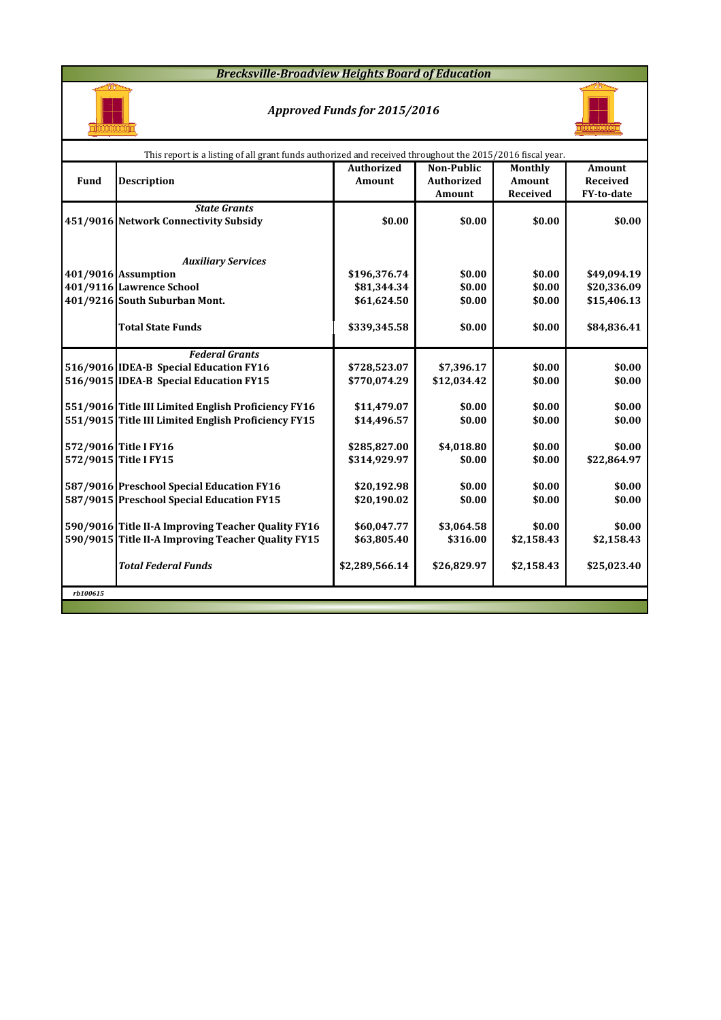#### *Brecksville-Broadview Heights Board of Education*



### *Approved Funds for 2015/2016*



|          | This report is a listing of all grant funds authorized and received throughout the 2015/2016 fiscal year. |                   |                   |            |                   |  |  |  |  |  |  |  |
|----------|-----------------------------------------------------------------------------------------------------------|-------------------|-------------------|------------|-------------------|--|--|--|--|--|--|--|
|          |                                                                                                           | <b>Authorized</b> | <b>Non-Public</b> | Monthly    | <b>Amount</b>     |  |  |  |  |  |  |  |
| Fund     | <b>Description</b>                                                                                        | <b>Amount</b>     | <b>Authorized</b> | Amount     | <b>Received</b>   |  |  |  |  |  |  |  |
|          |                                                                                                           |                   | <b>Amount</b>     | Received   | <b>FY-to-date</b> |  |  |  |  |  |  |  |
|          | <b>State Grants</b>                                                                                       |                   |                   |            |                   |  |  |  |  |  |  |  |
|          | 451/9016 Network Connectivity Subsidy                                                                     | \$0.00            | \$0.00            | \$0.00     | \$0.00            |  |  |  |  |  |  |  |
|          |                                                                                                           |                   |                   |            |                   |  |  |  |  |  |  |  |
|          |                                                                                                           |                   |                   |            |                   |  |  |  |  |  |  |  |
|          | <b>Auxiliary Services</b>                                                                                 |                   |                   |            |                   |  |  |  |  |  |  |  |
|          | 401/9016 Assumption                                                                                       | \$196,376.74      | \$0.00            | \$0.00     | \$49,094.19       |  |  |  |  |  |  |  |
|          | 401/9116 Lawrence School                                                                                  | \$81,344.34       | \$0.00            | \$0.00     | \$20,336.09       |  |  |  |  |  |  |  |
|          | 401/9216 South Suburban Mont.                                                                             | \$61,624.50       | \$0.00            | \$0.00     | \$15,406.13       |  |  |  |  |  |  |  |
|          |                                                                                                           |                   |                   |            |                   |  |  |  |  |  |  |  |
|          | <b>Total State Funds</b>                                                                                  | \$339,345.58      | \$0.00            | \$0.00     | \$84,836.41       |  |  |  |  |  |  |  |
|          |                                                                                                           |                   |                   |            |                   |  |  |  |  |  |  |  |
|          | <b>Federal Grants</b>                                                                                     |                   |                   |            |                   |  |  |  |  |  |  |  |
|          | 516/9016 IDEA-B Special Education FY16                                                                    | \$728,523.07      | \$7,396.17        | \$0.00     | \$0.00            |  |  |  |  |  |  |  |
|          | 516/9015 IDEA-B Special Education FY15                                                                    | \$770,074.29      | \$12,034.42       | \$0.00     | \$0.00            |  |  |  |  |  |  |  |
|          |                                                                                                           |                   |                   |            |                   |  |  |  |  |  |  |  |
|          | 551/9016 Title III Limited English Proficiency FY16                                                       | \$11,479.07       | \$0.00            | \$0.00     | \$0.00            |  |  |  |  |  |  |  |
|          | 551/9015 Title III Limited English Proficiency FY15                                                       | \$14,496.57       | \$0.00            | \$0.00     | \$0.00            |  |  |  |  |  |  |  |
|          |                                                                                                           |                   |                   |            |                   |  |  |  |  |  |  |  |
|          | 572/9016 Title I FY16                                                                                     | \$285,827.00      | \$4,018.80        | \$0.00     | \$0.00            |  |  |  |  |  |  |  |
|          | 572/9015 Title I FY15                                                                                     | \$314,929.97      | \$0.00            | \$0.00     | \$22,864.97       |  |  |  |  |  |  |  |
|          |                                                                                                           |                   | \$0.00            | \$0.00     | \$0.00            |  |  |  |  |  |  |  |
|          | 587/9016 Preschool Special Education FY16<br>587/9015 Preschool Special Education FY15                    | \$20,192.98       |                   |            |                   |  |  |  |  |  |  |  |
|          |                                                                                                           | \$20,190.02       | \$0.00            | \$0.00     | \$0.00            |  |  |  |  |  |  |  |
|          | 590/9016 Title II-A Improving Teacher Quality FY16                                                        | \$60,047.77       | \$3,064.58        | \$0.00     | \$0.00            |  |  |  |  |  |  |  |
|          | 590/9015 Title II-A Improving Teacher Quality FY15                                                        | \$63,805.40       | \$316.00          | \$2,158.43 | \$2,158.43        |  |  |  |  |  |  |  |
|          |                                                                                                           |                   |                   |            |                   |  |  |  |  |  |  |  |
|          | <b>Total Federal Funds</b>                                                                                | \$2,289,566.14    | \$26,829.97       | \$2,158.43 | \$25,023.40       |  |  |  |  |  |  |  |
|          |                                                                                                           |                   |                   |            |                   |  |  |  |  |  |  |  |
| rb100615 |                                                                                                           |                   |                   |            |                   |  |  |  |  |  |  |  |
|          |                                                                                                           |                   |                   |            |                   |  |  |  |  |  |  |  |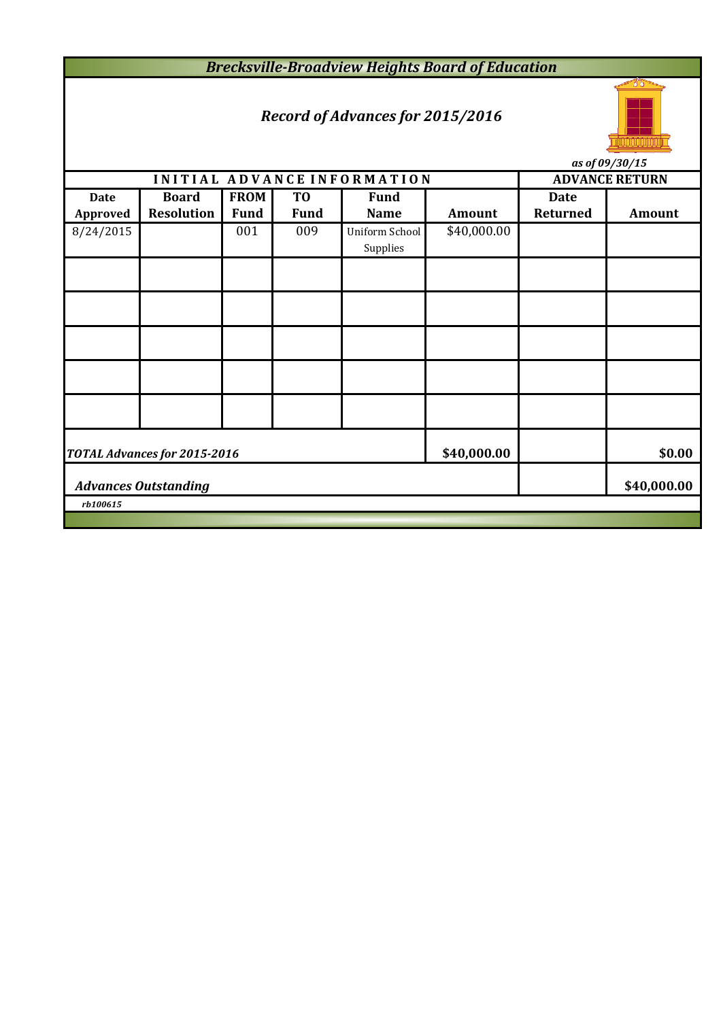*Brecksville-Broadview Heights Board of Education*

# *Record of Advances for 2015/2016*



*as of 09/30/15*

|             |                                     |             |                |                                   |             |                 | $\frac{1}{2}$ us vj v $\frac{1}{2}$ |  |  |
|-------------|-------------------------------------|-------------|----------------|-----------------------------------|-------------|-----------------|-------------------------------------|--|--|
|             |                                     |             |                | INITIAL ADVANCE INFORMATION       |             |                 | <b>ADVANCE RETURN</b>               |  |  |
| <b>Date</b> | <b>Board</b>                        | <b>FROM</b> | T <sub>0</sub> | <b>Fund</b>                       |             | <b>Date</b>     |                                     |  |  |
| Approved    | <b>Resolution</b>                   | <b>Fund</b> | <b>Fund</b>    | <b>Name</b>                       | Amount      | <b>Returned</b> | <b>Amount</b>                       |  |  |
| 8/24/2015   |                                     | 001         | 009            | <b>Uniform School</b><br>Supplies | \$40,000.00 |                 |                                     |  |  |
|             |                                     |             |                |                                   |             |                 |                                     |  |  |
|             |                                     |             |                |                                   |             |                 |                                     |  |  |
|             |                                     |             |                |                                   |             |                 |                                     |  |  |
|             |                                     |             |                |                                   |             |                 |                                     |  |  |
|             |                                     |             |                |                                   |             |                 |                                     |  |  |
|             | <b>TOTAL Advances for 2015-2016</b> | \$40,000.00 |                | \$0.00                            |             |                 |                                     |  |  |
|             | <b>Advances Outstanding</b>         |             |                | \$40,000.00                       |             |                 |                                     |  |  |
| rb100615    |                                     |             |                |                                   |             |                 |                                     |  |  |
|             |                                     |             |                |                                   |             |                 |                                     |  |  |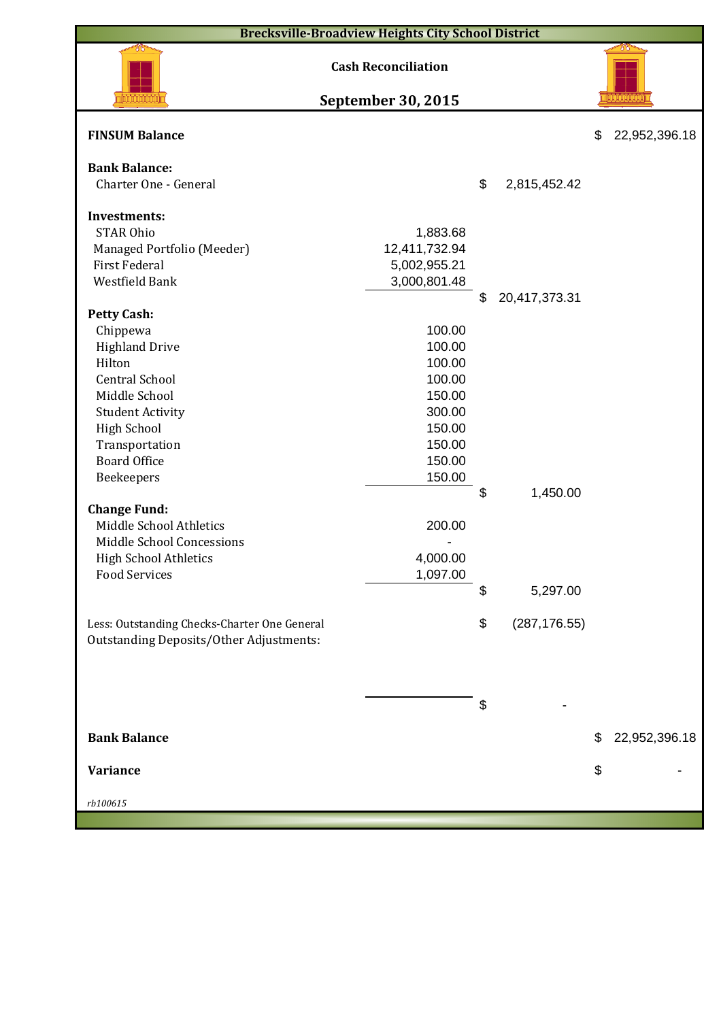| <b>Brecksville-Broadview Heights City School District</b> |                            |    |               |    |               |  |  |  |  |
|-----------------------------------------------------------|----------------------------|----|---------------|----|---------------|--|--|--|--|
|                                                           | <b>Cash Reconciliation</b> |    |               |    |               |  |  |  |  |
|                                                           | <b>September 30, 2015</b>  |    |               |    |               |  |  |  |  |
| <b>FINSUM Balance</b>                                     |                            |    |               | \$ | 22,952,396.18 |  |  |  |  |
| <b>Bank Balance:</b><br>Charter One - General             |                            | \$ | 2,815,452.42  |    |               |  |  |  |  |
| <b>Investments:</b>                                       |                            |    |               |    |               |  |  |  |  |
| <b>STAR Ohio</b>                                          | 1,883.68                   |    |               |    |               |  |  |  |  |
| Managed Portfolio (Meeder)                                | 12,411,732.94              |    |               |    |               |  |  |  |  |
| <b>First Federal</b>                                      | 5,002,955.21               |    |               |    |               |  |  |  |  |
| Westfield Bank                                            | 3,000,801.48               |    |               |    |               |  |  |  |  |
|                                                           |                            | \$ | 20,417,373.31 |    |               |  |  |  |  |
| <b>Petty Cash:</b>                                        |                            |    |               |    |               |  |  |  |  |
| Chippewa                                                  | 100.00                     |    |               |    |               |  |  |  |  |
| <b>Highland Drive</b>                                     | 100.00                     |    |               |    |               |  |  |  |  |
| Hilton                                                    | 100.00                     |    |               |    |               |  |  |  |  |
| <b>Central School</b>                                     | 100.00                     |    |               |    |               |  |  |  |  |
| Middle School                                             | 150.00                     |    |               |    |               |  |  |  |  |
| <b>Student Activity</b>                                   | 300.00                     |    |               |    |               |  |  |  |  |
| <b>High School</b>                                        | 150.00                     |    |               |    |               |  |  |  |  |
| Transportation                                            | 150.00                     |    |               |    |               |  |  |  |  |
| <b>Board Office</b>                                       | 150.00                     |    |               |    |               |  |  |  |  |
| Beekeepers                                                | 150.00                     |    |               |    |               |  |  |  |  |
|                                                           |                            | \$ | 1,450.00      |    |               |  |  |  |  |
| <b>Change Fund:</b>                                       |                            |    |               |    |               |  |  |  |  |
| Middle School Athletics                                   | 200.00                     |    |               |    |               |  |  |  |  |
| Middle School Concessions                                 |                            |    |               |    |               |  |  |  |  |
| <b>High School Athletics</b>                              | 4,000.00                   |    |               |    |               |  |  |  |  |
| <b>Food Services</b>                                      | 1,097.00                   |    |               |    |               |  |  |  |  |
|                                                           |                            | \$ | 5,297.00      |    |               |  |  |  |  |
| Less: Outstanding Checks-Charter One General              |                            | \$ | (287, 176.55) |    |               |  |  |  |  |
| <b>Outstanding Deposits/Other Adjustments:</b>            |                            |    |               |    |               |  |  |  |  |
|                                                           |                            |    |               |    |               |  |  |  |  |
|                                                           |                            |    |               |    |               |  |  |  |  |
|                                                           |                            |    |               |    |               |  |  |  |  |
|                                                           |                            | \$ |               |    |               |  |  |  |  |
| <b>Bank Balance</b>                                       |                            |    |               | \$ | 22,952,396.18 |  |  |  |  |
| Variance                                                  |                            |    |               | \$ |               |  |  |  |  |
| rb100615                                                  |                            |    |               |    |               |  |  |  |  |
|                                                           |                            |    |               |    |               |  |  |  |  |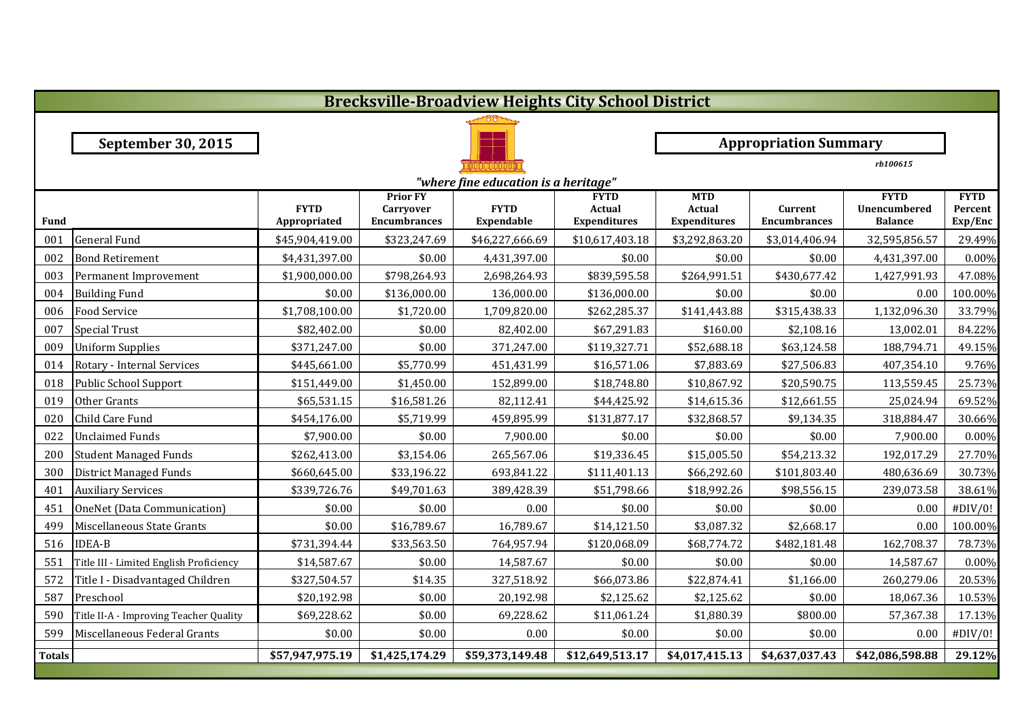|               | <b>Brecksville-Broadview Heights City School District</b> |                             |                                                            |                                  |                                              |                                                    |                                |                                               |                                   |  |  |  |
|---------------|-----------------------------------------------------------|-----------------------------|------------------------------------------------------------|----------------------------------|----------------------------------------------|----------------------------------------------------|--------------------------------|-----------------------------------------------|-----------------------------------|--|--|--|
|               |                                                           |                             |                                                            |                                  |                                              |                                                    |                                |                                               |                                   |  |  |  |
|               | <b>September 30, 2015</b>                                 |                             | <b>Appropriation Summary</b>                               |                                  |                                              |                                                    |                                |                                               |                                   |  |  |  |
|               |                                                           |                             |                                                            |                                  |                                              |                                                    |                                | rb100615                                      |                                   |  |  |  |
|               | "where fine education is a heritage"                      |                             |                                                            |                                  |                                              |                                                    |                                |                                               |                                   |  |  |  |
| <b>Fund</b>   |                                                           | <b>FYTD</b><br>Appropriated | <b>Prior FY</b><br><b>Carryover</b><br><b>Encumbrances</b> | <b>FYTD</b><br><b>Expendable</b> | <b>FYTD</b><br>Actual<br><b>Expenditures</b> | <b>MTD</b><br><b>Actual</b><br><b>Expenditures</b> | Current<br><b>Encumbrances</b> | <b>FYTD</b><br>Unencumbered<br><b>Balance</b> | <b>FYTD</b><br>Percent<br>Exp/Enc |  |  |  |
| 001           | <b>General Fund</b>                                       | \$45,904,419.00             | \$323,247.69                                               | \$46,227,666.69                  | \$10,617,403.18                              | \$3,292,863.20                                     | \$3,014,406.94                 | 32,595,856.57                                 | 29.49%                            |  |  |  |
| 002           | <b>Bond Retirement</b>                                    | \$4,431,397.00              | \$0.00                                                     | 4,431,397.00                     | \$0.00                                       | \$0.00                                             | \$0.00                         | 4,431,397.00                                  | 0.00%                             |  |  |  |
| 003           | Permanent Improvement                                     | \$1,900,000.00              | \$798,264.93                                               | 2,698,264.93                     | \$839,595.58                                 | \$264,991.51                                       | \$430,677.42                   | 1,427,991.93                                  | 47.08%                            |  |  |  |
| 004           | <b>Building Fund</b>                                      | \$0.00                      | \$136,000.00                                               | 136,000.00                       | \$136,000.00                                 | \$0.00                                             | \$0.00                         | 0.00                                          | 100.00%                           |  |  |  |
| 006           | <b>Food Service</b>                                       | \$1,708,100.00              | \$1,720.00                                                 | 1,709,820.00                     | \$262,285.37                                 | \$141,443.88                                       | \$315,438.33                   | 1,132,096.30                                  | 33.79%                            |  |  |  |
| 007           | <b>Special Trust</b>                                      | \$82,402.00                 | \$0.00                                                     | 82,402.00                        | \$67,291.83                                  | \$160.00                                           | \$2,108.16                     | 13,002.01                                     | 84.22%                            |  |  |  |
| 009           | <b>Uniform Supplies</b>                                   | \$371,247.00                | \$0.00                                                     | 371,247.00                       | \$119,327.71                                 | \$52,688.18                                        | \$63,124.58                    | 188,794.71                                    | 49.15%                            |  |  |  |
| 014           | Rotary - Internal Services                                | \$445,661.00                | \$5,770.99                                                 | 451,431.99                       | \$16,571.06                                  | \$7,883.69                                         | \$27,506.83                    | 407,354.10                                    | 9.76%                             |  |  |  |
| 018           | Public School Support                                     | \$151,449.00                | \$1,450.00                                                 | 152,899.00                       | \$18,748.80                                  | \$10,867.92                                        | \$20,590.75                    | 113,559.45                                    | 25.73%                            |  |  |  |
| 019           | Other Grants                                              | \$65,531.15                 | \$16,581.26                                                | 82,112.41                        | \$44,425.92                                  | \$14,615.36                                        | \$12,661.55                    | 25,024.94                                     | 69.52%                            |  |  |  |
| 020           | Child Care Fund                                           | \$454,176.00                | \$5,719.99                                                 | 459,895.99                       | \$131,877.17                                 | \$32,868.57                                        | \$9,134.35                     | 318,884.47                                    | 30.66%                            |  |  |  |
| 022           | <b>Unclaimed Funds</b>                                    | \$7,900.00                  | \$0.00                                                     | 7,900.00                         | \$0.00                                       | \$0.00                                             | \$0.00                         | 7,900.00                                      | 0.00%                             |  |  |  |
| 200           | <b>Student Managed Funds</b>                              | \$262,413.00                | \$3,154.06                                                 | 265,567.06                       | \$19,336.45                                  | \$15,005.50                                        | \$54,213.32                    | 192,017.29                                    | 27.70%                            |  |  |  |
| 300           | <b>District Managed Funds</b>                             | \$660,645.00                | \$33,196.22                                                | 693,841.22                       | \$111,401.13                                 | \$66,292.60                                        | \$101,803.40                   | 480,636.69                                    | 30.73%                            |  |  |  |
| 401           | <b>Auxiliary Services</b>                                 | \$339,726.76                | \$49,701.63                                                | 389,428.39                       | \$51,798.66                                  | \$18,992.26                                        | \$98,556.15                    | 239,073.58                                    | 38.61%                            |  |  |  |
| 451           | OneNet (Data Communication)                               | \$0.00                      | \$0.00                                                     | 0.00                             | \$0.00                                       | \$0.00                                             | \$0.00                         | 0.00                                          | #DIV/0!                           |  |  |  |
| 499           | Miscellaneous State Grants                                | \$0.00                      | \$16,789.67                                                | 16,789.67                        | \$14,121.50                                  | \$3,087.32                                         | \$2,668.17                     | 0.00                                          | 100.00%                           |  |  |  |
| 516           | <b>IDEA-B</b>                                             | \$731,394.44                | \$33,563.50                                                | 764,957.94                       | \$120,068.09                                 | \$68,774.72                                        | \$482,181.48                   | 162,708.37                                    | 78.73%                            |  |  |  |
| 551           | Title III - Limited English Proficiency                   | \$14,587.67                 | \$0.00                                                     | 14,587.67                        | \$0.00                                       | \$0.00                                             | \$0.00                         | 14,587.67                                     | 0.00%                             |  |  |  |
| 572           | Title I - Disadvantaged Children                          | \$327,504.57                | \$14.35                                                    | 327,518.92                       | \$66,073.86                                  | \$22,874.41                                        | \$1,166.00                     | 260,279.06                                    | 20.53%                            |  |  |  |
| 587           | Preschool                                                 | \$20,192.98                 | \$0.00                                                     | 20,192.98                        | \$2,125.62                                   | \$2,125.62                                         | \$0.00                         | 18,067.36                                     | 10.53%                            |  |  |  |
| 590           | Title II-A - Improving Teacher Quality                    | \$69,228.62                 | \$0.00                                                     | 69,228.62                        | \$11,061.24                                  | \$1,880.39                                         | \$800.00                       | 57,367.38                                     | 17.13%                            |  |  |  |
| 599           | Miscellaneous Federal Grants                              | \$0.00                      | \$0.00                                                     | 0.00                             | \$0.00                                       | \$0.00                                             | \$0.00                         | 0.00                                          | #DIV/0!                           |  |  |  |
| <b>Totals</b> |                                                           | \$57,947,975.19             | \$1,425,174.29                                             | $\overline{$}59,373,149.48$      | \$12,649,513.17                              | \$4,017,415.13                                     | \$4,637,037.43                 | \$42,086,598.88                               | 29.12%                            |  |  |  |